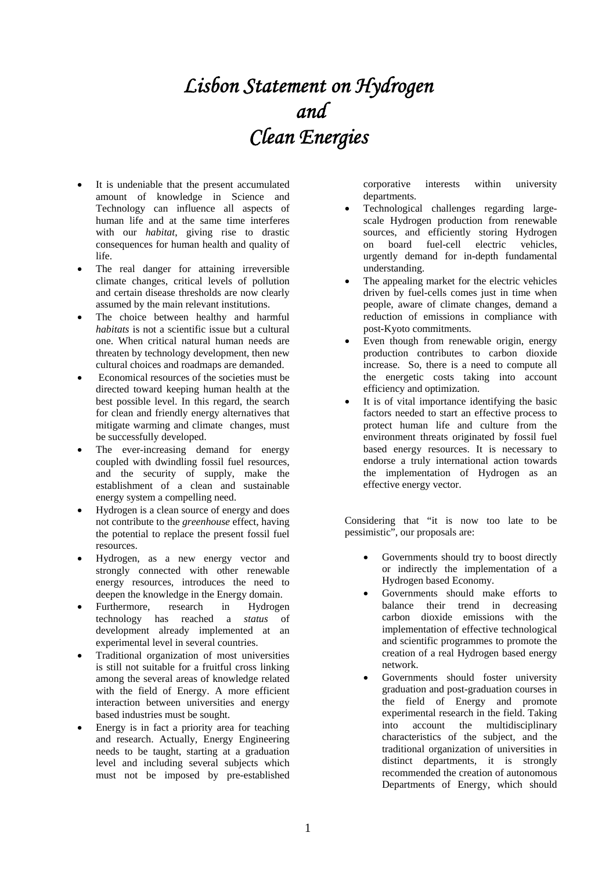## *Lisbon Statement on Hydrogen and Clean Energies*

- It is undeniable that the present accumulated amount of knowledge in Science and Technology can influence all aspects of human life and at the same time interferes with our *habitat*, giving rise to drastic consequences for human health and quality of life.
- The real danger for attaining irreversible climate changes, critical levels of pollution and certain disease thresholds are now clearly assumed by the main relevant institutions.
- The choice between healthy and harmful *habitats* is not a scientific issue but a cultural one. When critical natural human needs are threaten by technology development, then new cultural choices and roadmaps are demanded.
- Economical resources of the societies must be directed toward keeping human health at the best possible level. In this regard, the search for clean and friendly energy alternatives that mitigate warming and climate changes, must be successfully developed.
- The ever-increasing demand for energy coupled with dwindling fossil fuel resources, and the security of supply, make the establishment of a clean and sustainable energy system a compelling need.
- Hydrogen is a clean source of energy and does not contribute to the *greenhouse* effect, having the potential to replace the present fossil fuel resources.
- Hydrogen, as a new energy vector and strongly connected with other renewable energy resources, introduces the need to deepen the knowledge in the Energy domain.
- Furthermore, research in Hydrogen technology has reached a *status* of development already implemented at an experimental level in several countries.
- Traditional organization of most universities is still not suitable for a fruitful cross linking among the several areas of knowledge related with the field of Energy. A more efficient interaction between universities and energy based industries must be sought.
- Energy is in fact a priority area for teaching and research. Actually, Energy Engineering needs to be taught, starting at a graduation level and including several subjects which must not be imposed by pre-established

corporative interests within university departments.

- Technological challenges regarding largescale Hydrogen production from renewable sources, and efficiently storing Hydrogen on board fuel-cell electric vehicles, urgently demand for in-depth fundamental understanding.
- The appealing market for the electric vehicles driven by fuel-cells comes just in time when people, aware of climate changes, demand a reduction of emissions in compliance with post-Kyoto commitments.
- Even though from renewable origin, energy production contributes to carbon dioxide increase. So, there is a need to compute all the energetic costs taking into account efficiency and optimization.
- It is of vital importance identifying the basic factors needed to start an effective process to protect human life and culture from the environment threats originated by fossil fuel based energy resources. It is necessary to endorse a truly international action towards the implementation of Hydrogen as an effective energy vector.

Considering that "it is now too late to be pessimistic", our proposals are:

- Governments should try to boost directly or indirectly the implementation of a Hydrogen based Economy.
- Governments should make efforts to balance their trend in decreasing carbon dioxide emissions with the implementation of effective technological and scientific programmes to promote the creation of a real Hydrogen based energy network.
- Governments should foster university graduation and post-graduation courses in the field of Energy and promote experimental research in the field. Taking into account the multidisciplinary characteristics of the subject, and the traditional organization of universities in distinct departments, it is strongly recommended the creation of autonomous Departments of Energy, which should